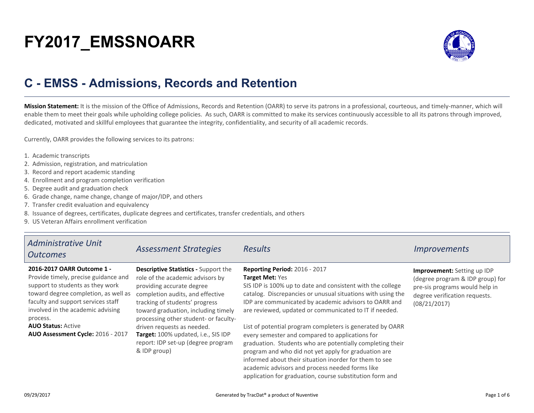# **FY2017\_EMSSNOARR**



## **C - EMSS - Admissions, Records and Retention**

**Mission Statement:** It is the mission of the Office of Admissions, Records and Retention (OARR) to serve its patrons in a professional, courteous, and timely-manner, which willenable them to meet their goals while upholding college policies. As such, OARR is committed to make its services continuously accessible to all its patrons through improved,dedicated, motivated and skillful employees that guarantee the integrity, confidentiality, and security of all academic records.

Currently, OARR provides the following services to its patrons:

- 1. Academic transcripts
- 2. Admission, registration, and matriculation
- 3. Record and report academic standing
- 4. Enrollment and program completion verification
- 5. Degree audit and graduation check
- 6. Grade change, name change, change of major/IDP, and others
- 7. Transfer credit evaluation and equivalency
- 8. Issuance of degrees, certificates, duplicate degrees and certificates, transfer credentials, and others
- 9. US Veteran Affairs enrollment verification

| <b>Administrative Unit</b><br><b>Outcomes</b>                                                                                                                                                                                                                                                           | <b>Assessment Strategies</b>                                                                                                                                                                                                                                                                                                                                                                  | <b>Results</b>                                                                                                                                                                                                                                                                                                                                                                                                                                                                                                                                                                                                                                                                                                        | <i>Improvements</i>                                                                                                                                |
|---------------------------------------------------------------------------------------------------------------------------------------------------------------------------------------------------------------------------------------------------------------------------------------------------------|-----------------------------------------------------------------------------------------------------------------------------------------------------------------------------------------------------------------------------------------------------------------------------------------------------------------------------------------------------------------------------------------------|-----------------------------------------------------------------------------------------------------------------------------------------------------------------------------------------------------------------------------------------------------------------------------------------------------------------------------------------------------------------------------------------------------------------------------------------------------------------------------------------------------------------------------------------------------------------------------------------------------------------------------------------------------------------------------------------------------------------------|----------------------------------------------------------------------------------------------------------------------------------------------------|
| 2016-2017 OARR Outcome 1 -<br>Provide timely, precise guidance and<br>support to students as they work<br>toward degree completion, as well as<br>faculty and support services staff<br>involved in the academic advising<br>process.<br><b>AUO Status: Active</b><br>AUO Assessment Cycle: 2016 - 2017 | <b>Descriptive Statistics - Support the</b><br>role of the academic advisors by<br>providing accurate degree<br>completion audits, and effective<br>tracking of students' progress<br>toward graduation, including timely<br>processing other student- or faculty-<br>driven requests as needed.<br>Target: 100% updated, i.e., SIS IDP<br>report: IDP set-up (degree program<br>& IDP group) | Reporting Period: 2016 - 2017<br><b>Target Met: Yes</b><br>SIS IDP is 100% up to date and consistent with the college<br>catalog. Discrepancies or unusual situations with using the<br>IDP are communicated by academic advisors to OARR and<br>are reviewed, updated or communicated to IT if needed.<br>List of potential program completers is generated by OARR<br>every semester and compared to applications for<br>graduation. Students who are potentially completing their<br>program and who did not yet apply for graduation are<br>informed about their situation inorder for them to see<br>academic advisors and process needed forms like<br>application for graduation, course substitution form and | Improvement: Setting up IDP<br>(degree program & IDP group) for<br>pre-sis programs would help in<br>degree verification requests.<br>(08/21/2017) |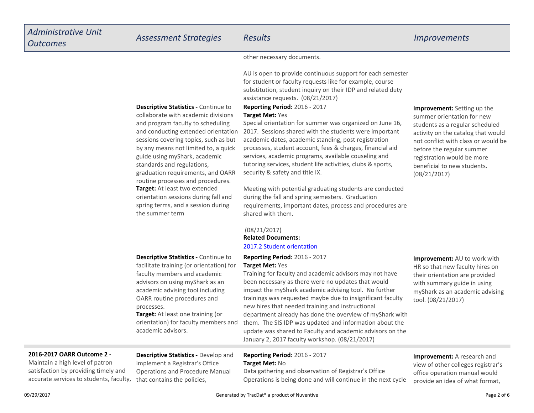**Descriptive Statistics - Continue to**  collaborate with academic divisions and program faculty to scheduling and conducting extended orientation sessions covering topics, such as but by any means not limited to, a quickguide using myShark, academicstandards and regulations,

**Target:** At least two extended orientation sessions during fall andspring terms, and a session during

graduation requirements, and OARRroutine processes and procedures.

the summer term

other necessary documents.

AU is open to provide continuous support for each semesterfor student or faculty requests like for example, course substitution, student inquiry on their IDP and related dutyassistance requests. (08/21/2017)

### **Reporting Period:** 2016 - 2017**Target Met:** Yes

 Special orientation for summer was organized on June 16,2017. Sessions shared with the students were importantacademic dates, academic standing, post registration processes, student account, fees & charges, financial aidservices, academic programs, available couseling and tutoring services, student life activities, clubs & sports,security & safety and title IX.

Meeting with potential graduating students are conductedduring the fall and spring semesters. Graduation requirements, important dates, process and procedures areshared with them.

### **Improvement:** Setting up the summer orientation for new students as a regular scheduled activity on the catalog that would not conflict with class or would bebefore the regular summer registration would be more beneficial to new students.(08/21/2017)

**Related Documents:** [2017.2 Student orientation](https://comfsm.tracdat.com:443/tracdat/viewDocument?y=8CkJISBtshBI) (08/21/2017)

| <b>Descriptive Statistics - Continue to</b><br>facilitate training (or orientation) for<br>faculty members and academic<br>advisors on using myShark as an<br>academic advising tool including<br>OARR routine procedures and<br>processes.<br><b>Target:</b> At least one training (or<br>orientation) for faculty members and<br>academic advisors. | Reporting Period: 2016 - 2017<br><b>Target Met: Yes</b><br>Training for faculty and academic advisors may not have<br>been necessary as there were no updates that would<br>impact the myShark academic advising tool. No further<br>trainings was requested maybe due to insignificant faculty<br>new hires that needed training and instructional<br>department already has done the overview of myShark with<br>them. The SIS IDP was updated and information about the<br>update was shared to Faculty and academic advisors on the<br>January 2, 2017 faculty workshop. (08/21/2017) | <b>Improvement:</b> AU to work with<br>HR so that new faculty hires on<br>their orientation are provided<br>with summary guide in using<br>myShark as an academic advising<br>tool. (08/21/2017) |
|-------------------------------------------------------------------------------------------------------------------------------------------------------------------------------------------------------------------------------------------------------------------------------------------------------------------------------------------------------|-------------------------------------------------------------------------------------------------------------------------------------------------------------------------------------------------------------------------------------------------------------------------------------------------------------------------------------------------------------------------------------------------------------------------------------------------------------------------------------------------------------------------------------------------------------------------------------------|--------------------------------------------------------------------------------------------------------------------------------------------------------------------------------------------------|
|                                                                                                                                                                                                                                                                                                                                                       |                                                                                                                                                                                                                                                                                                                                                                                                                                                                                                                                                                                           |                                                                                                                                                                                                  |

### **2016-2017 OARR Outcome 2 -**

 Maintain a high level of patron satisfaction by providing timely andaccurate services to students, faculty,

**Descriptive Statistics -** Develop andimplement a Registrar's Office Operations and Procedure Manualthat contains the policies,

### **Reporting Period:** 2016 - 2017**Target Met:** No

 Data gathering and observation of Registrar's OfficeOperations is being done and will continue in the next cycle

**Improvement:** A research andview of other colleges registrar's

office operation manual wouldprovide an idea of what format,

09/29/2017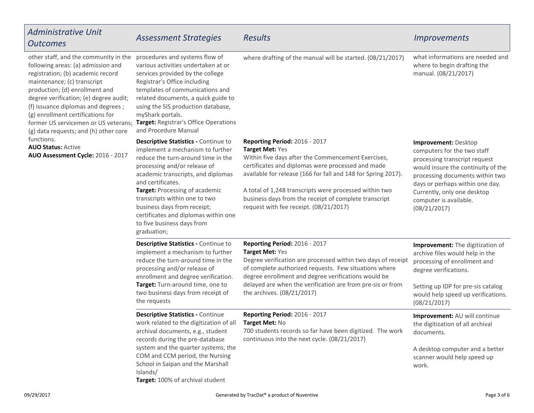| Administrative Unit<br><b>Outcomes</b>                                                                                                                                                                                                                                                                                                                                                                                                                                  | <b>Assessment Strategies</b>                                                                                                                                                                                                                                                                                                                                                                     | Results                                                                                                                                                                                                                                                                                                                                                                                   | <i><u><b>Improvements</b></u></i>                                                                                                                                                                                                                                         |
|-------------------------------------------------------------------------------------------------------------------------------------------------------------------------------------------------------------------------------------------------------------------------------------------------------------------------------------------------------------------------------------------------------------------------------------------------------------------------|--------------------------------------------------------------------------------------------------------------------------------------------------------------------------------------------------------------------------------------------------------------------------------------------------------------------------------------------------------------------------------------------------|-------------------------------------------------------------------------------------------------------------------------------------------------------------------------------------------------------------------------------------------------------------------------------------------------------------------------------------------------------------------------------------------|---------------------------------------------------------------------------------------------------------------------------------------------------------------------------------------------------------------------------------------------------------------------------|
| other staff, and the community in the<br>following areas: (a) admission and<br>registration; (b) academic record<br>maintenance; (c) transcript<br>production; (d) enrollment and<br>degree verification; (e) degree audit;<br>(f) issuance diplomas and degrees;<br>(g) enrollment certifications for<br>former US servicemen or US veterans;<br>(g) data requests; and (h) other core<br>functions.<br><b>AUO Status: Active</b><br>AUO Assessment Cycle: 2016 - 2017 | procedures and systems flow of<br>various activities undertaken at or<br>services provided by the college<br>Registrar's Office including<br>templates of communications and<br>related documents, a quick guide to<br>using the SIS production database,<br>myShark portals.<br>Target: Registrar's Office Operations<br>and Procedure Manual                                                   | where drafting of the manual will be started. (08/21/2017)                                                                                                                                                                                                                                                                                                                                | what informations are needed and<br>where to begin drafting the<br>manual. (08/21/2017)                                                                                                                                                                                   |
|                                                                                                                                                                                                                                                                                                                                                                                                                                                                         | Descriptive Statistics - Continue to<br>implement a mechanism to further<br>reduce the turn-around time in the<br>processing and/or release of<br>academic transcripts, and diplomas<br>and certificates.<br>Target: Processing of academic<br>transcripts within one to two<br>business days from receipt;<br>certificates and diplomas within one<br>to five business days from<br>graduation; | Reporting Period: 2016 - 2017<br>Target Met: Yes<br>Within five days after the Commencement Exercises,<br>certificates and diplomas were processed and made<br>available for release (166 for fall and 148 for Spring 2017).<br>A total of 1,248 transcripts were processed within two<br>business days from the receipt of complete transcript<br>request with fee receipt. (08/21/2017) | Improvement: Desktop<br>computers for the two staff<br>processing transcript request<br>would insure the continuity of the<br>processing documents within two<br>days or perhaps within one day.<br>Currently, only one desktop<br>computer is available.<br>(08/21/2017) |
|                                                                                                                                                                                                                                                                                                                                                                                                                                                                         | Descriptive Statistics - Continue to<br>implement a mechanism to further<br>reduce the turn-around time in the<br>processing and/or release of<br>enrollment and degree verification.<br>Target: Turn-around time, one to<br>two business days from receipt of<br>the requests                                                                                                                   | Reporting Period: 2016 - 2017<br>Target Met: Yes<br>Degree verification are processed within two days of receipt<br>of complete authorized requests. Few situations where<br>degree enrollment and degree verifications would be<br>delayed are when the verification are from pre-sis or from<br>the archives. (08/21/2017)                                                              | Improvement: The digitization of<br>archive files would help in the<br>processing of enrollment and<br>degree verifications.<br>Setting up IDP for pre-sis catalog<br>would help speed up verifications.<br>(08/21/2017)                                                  |
|                                                                                                                                                                                                                                                                                                                                                                                                                                                                         | <b>Descriptive Statistics - Continue</b><br>work related to the digitization of all<br>archival documents, e.g., student<br>records during the pre-database<br>system and the quarter systems, the<br>COM and CCM period, the Nursing<br>School in Saipan and the Marshall<br>Islands/<br>Target: 100% of archival student                                                                       | Reporting Period: 2016 - 2017<br>Target Met: No<br>700 students records so far have been digitized. The work<br>continuous into the next cycle. (08/21/2017)                                                                                                                                                                                                                              | Improvement: AU will continue<br>the digitization of all archival<br>documents.<br>A desktop computer and a better<br>scanner would help speed up<br>work.                                                                                                                |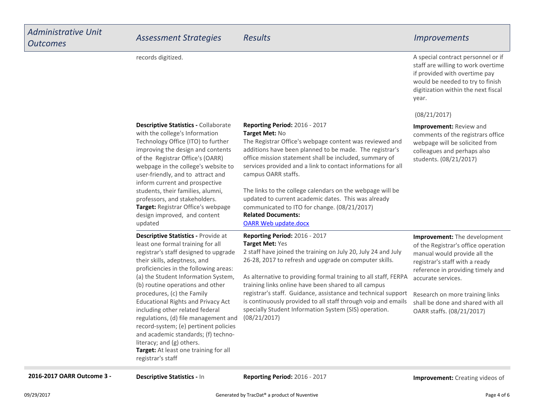A special contract personnel or if staff are willing to work overtimeif provided with overtime paywould be needed to try to finish

records digitized.

|                                                                                                                                                                                                                                                                                                                                                                                                                                                                                                                                                                                   |                                                                                                                                                                                                                                                                                                                                                                                                                                                                                                                                                               | digitization within the next fiscal<br>year.                                                                                                                                                                                                                                                          |
|-----------------------------------------------------------------------------------------------------------------------------------------------------------------------------------------------------------------------------------------------------------------------------------------------------------------------------------------------------------------------------------------------------------------------------------------------------------------------------------------------------------------------------------------------------------------------------------|---------------------------------------------------------------------------------------------------------------------------------------------------------------------------------------------------------------------------------------------------------------------------------------------------------------------------------------------------------------------------------------------------------------------------------------------------------------------------------------------------------------------------------------------------------------|-------------------------------------------------------------------------------------------------------------------------------------------------------------------------------------------------------------------------------------------------------------------------------------------------------|
|                                                                                                                                                                                                                                                                                                                                                                                                                                                                                                                                                                                   |                                                                                                                                                                                                                                                                                                                                                                                                                                                                                                                                                               | (08/21/2017)                                                                                                                                                                                                                                                                                          |
| <b>Descriptive Statistics - Collaborate</b><br>with the college's Information<br>Technology Office (ITO) to further<br>improving the design and contents<br>of the Registrar Office's (OARR)<br>webpage in the college's website to<br>user-friendly, and to attract and<br>inform current and prospective<br>students, their families, alumni,<br>professors, and stakeholders.<br>Target: Registrar Office's webpage<br>design improved, and content<br>updated                                                                                                                 | <b>Reporting Period: 2016 - 2017</b><br>Target Met: No<br>The Registrar Office's webpage content was reviewed and<br>additions have been planned to be made. The registrar's<br>office mission statement shall be included, summary of<br>services provided and a link to contact informations for all<br>campus OARR staffs.<br>The links to the college calendars on the webpage will be<br>updated to current academic dates. This was already<br>communicated to ITO for change. (08/21/2017)<br><b>Related Documents:</b><br><b>OARR Web update.docx</b> | Improvement: Review and<br>comments of the registrars office<br>webpage will be solicited from<br>colleagues and perhaps also<br>students. (08/21/2017)                                                                                                                                               |
| Descriptive Statistics - Provide at<br>least one formal training for all<br>registrar's staff designed to upgrade<br>their skills, adeptness, and<br>proficiencies in the following areas:<br>(a) the Student Information System,<br>(b) routine operations and other<br>procedures, (c) the Family<br><b>Educational Rights and Privacy Act</b><br>including other related federal<br>regulations, (d) file management and<br>record-system; (e) pertinent policies<br>and academic standards; (f) techno-<br>literacy; and (g) others.<br>Target: At least one training for all | Reporting Period: 2016 - 2017<br>Target Met: Yes<br>2 staff have joined the training on July 20, July 24 and July<br>26-28, 2017 to refresh and upgrade on computer skills.<br>As alternative to providing formal training to all staff, FERPA<br>training links online have been shared to all campus<br>registrar's staff. Guidance, assistance and technical support<br>is continuously provided to all staff through voip and emails<br>specially Student Information System (SIS) operation.<br>(08/21/2017)                                             | Improvement: The development<br>of the Registrar's office operation<br>manual would provide all the<br>registrar's staff with a ready<br>reference in providing timely and<br>accurate services.<br>Research on more training links<br>shall be done and shared with all<br>OARR staffs. (08/21/2017) |

**2016-2017 OARR Outcome 3 - Descriptive Statistics - In Reporting Period:** 2016 - 2017 **Improvement:** Creating videos of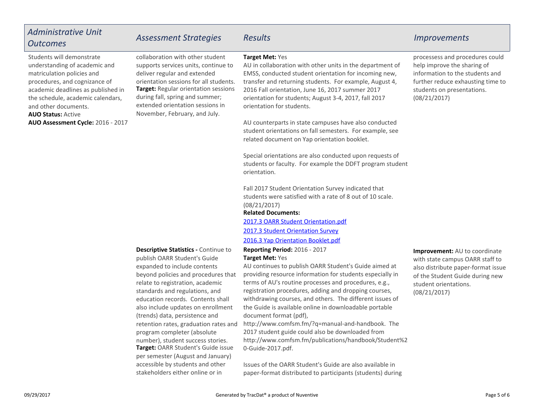### *Administrative UnitOutcomesAssessment Strategies Results Improvements*

**AUO Status:** Active **AUO Assessment Cycle:** 2016 - 2017Students will demonstrate understanding of academic andmatriculation policies and procedures, and cognizance of academic deadlines as published in the schedule, academic calendars,and other documents.

**Target:** Regular orientation sessions during fall, spring and summer;extended orientation sessions inNovember, February, and July.collaboration with other student supports services units, continue todeliver regular and extendedorientation sessions for all students.

### **Target Met:** Yes

 AU in collaboration with other units in the department ofEMSS, conducted student orientation for incoming new,transfer and returning students. For example, August 4,2016 Fall orientation, June 16, 2017 summer 2017 orientation for students; August 3-4, 2017, fall 2017orientation for students.

AU counterparts in state campuses have also conducted student orientations on fall semesters. For example, seerelated document on Yap orientation booklet.

Special orientations are also conducted upon requests of students or faculty. For example the DDFT program studentorientation.

Fall 2017 Student Orientation Survey indicated that students were satisfied with a rate of 8 out of 10 scale.(08/21/2017)

### **Related Documents:**

[2017.3 OARR Student Orientation.pdf](https://comfsm.tracdat.com:443/tracdat/viewDocument?y=a6YTx8JDxSCP)

[2017.3 Student Orientation Survey](https://comfsm.tracdat.com:443/tracdat/viewDocument?y=aQQTslZGD1NR)

[2016.3 Yap Orientation Booklet.pdf](https://comfsm.tracdat.com:443/tracdat/viewDocument?y=Vx4vGoDX1UGB)

### **Reporting Period:** 2016 - 2017**Target Met:** Yes

 AU continues to publish OARR Student's Guide aimed at providing resource information for students especially interms of AU's routine processes and procedures, e.g.,registration procedures, adding and dropping courses,withdrawing courses, and others. The different issues ofthe Guide is available online in downloadable portabledocument format (pdf),

http://www.comfsm.fm/?q=manual-and-handbook. The2017 student guide could also be downloaded from http://www.comfsm.fm/publications/handbook/Student%20-Guide-2017.pdf.

Issues of the OARR Student's Guide are also available inpaper-format distributed to participants (students) during processess and procedures couldhelp improve the sharing ofinformation to the students and further reduce exhausting time tostudents on presentations.(08/21/2017)

**Improvement:** AU to coordinate with state campus OARR staff to also distribute paper-format issue of the Student Guide during newstudent orientations.(08/21/2017)

**Target:** OARR Student's Guide issue per semester (August and January)accessible by students and otherpublish OARR Student's Guide expanded to include contents beyond policies and procedures thatrelate to registration, academic standards and regulations, and education records. Contents shallalso include updates on enrollment(trends) data, persistence and retention rates, graduation rates andprogram completer (absolutenumber), student success stories.

**Descriptive Statistics -** Continue to

stakeholders either online or in